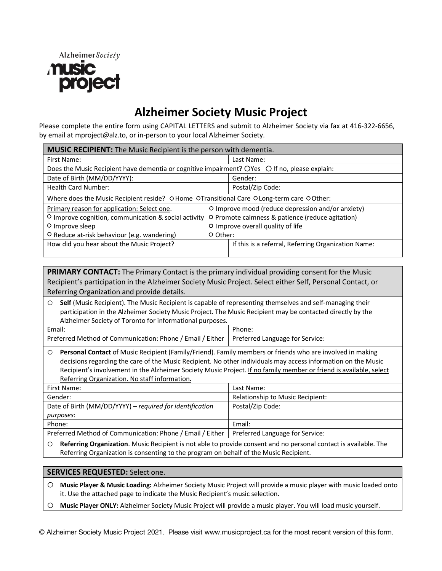

# **Alzheimer Society Music Project**

Please complete the entire form using CAPITAL LETTERS and submit to Alzheimer Society via fax at 416-322-6656, by email at mproject@alz.to, or in-person to your local Alzheimer Society.

| <b>MUSIC RECIPIENT:</b> The Music Recipient is the person with dementia.                                 |                                   |                                                     |  |  |  |
|----------------------------------------------------------------------------------------------------------|-----------------------------------|-----------------------------------------------------|--|--|--|
| First Name:                                                                                              |                                   | Last Name:                                          |  |  |  |
| Does the Music Recipient have dementia or cognitive impairment? OYes O If no, please explain:            |                                   |                                                     |  |  |  |
| Date of Birth (MM/DD/YYYY):                                                                              |                                   | Gender:                                             |  |  |  |
| <b>Health Card Number:</b>                                                                               |                                   | Postal/Zip Code:                                    |  |  |  |
| Where does the Music Recipient reside? O Home OTransitional Care O Long-term care O Other:               |                                   |                                                     |  |  |  |
| O Improve mood (reduce depression and/or anxiety)<br>Primary reason for application: Select one.         |                                   |                                                     |  |  |  |
| O Improve cognition, communication & social activity<br>O Promote calmness & patience (reduce agitation) |                                   |                                                     |  |  |  |
| O Improve sleep                                                                                          | O Improve overall quality of life |                                                     |  |  |  |
| O Reduce at-risk behaviour (e.g. wandering)                                                              | O Other:                          |                                                     |  |  |  |
| How did you hear about the Music Project?                                                                |                                   | If this is a referral, Referring Organization Name: |  |  |  |
|                                                                                                          |                                   |                                                     |  |  |  |

**PRIMARY CONTACT:** The Primary Contact is the primary individual providing consent for the Music Recipient's participation in the Alzheimer Society Music Project. Select either Self, Personal Contact, or Referring Organization and provide details.

o **Self** (Music Recipient). The Music Recipient is capable of representing themselves and self-managing their participation in the Alzheimer Society Music Project. The Music Recipient may be contacted directly by the Alzheimer Society of Toronto for informational purposes.

| Email:                                                                                      | Phone: |
|---------------------------------------------------------------------------------------------|--------|
| Preferred Method of Communication: Phone / Email / Either   Preferred Language for Service: |        |

o **Personal Contact** of Music Recipient (Family/Friend). Family members or friends who are involved in making decisions regarding the care of the Music Recipient. No other individuals may access information on the Music Recipient's involvement in the Alzheimer Society Music Project. If no family member or friend is available, select Referring Organization. No staff information.

| First Name:                                               | Last Name:                       |
|-----------------------------------------------------------|----------------------------------|
| Gender:                                                   | Relationship to Music Recipient: |
| Date of Birth (MM/DD/YYYY) - required for identification  | Postal/Zip Code:                 |
| purposes:                                                 |                                  |
| Phone:                                                    | Email:                           |
| Preferred Method of Communication: Phone / Email / Either | Preferred Language for Service:  |

o **Referring Organization**. Music Recipient is not able to provide consent and no personal contact is available. The Referring Organization is consenting to the program on behalf of the Music Recipient.

**SERVICES REQUESTED:** Select one.

o **Music Player & Music Loading:** Alzheimer Society Music Project will provide a music player with music loaded onto it. Use the attached page to indicate the Music Recipient's music selection.

o **Music Player ONLY:** Alzheimer Society Music Project will provide a music player. You will load music yourself.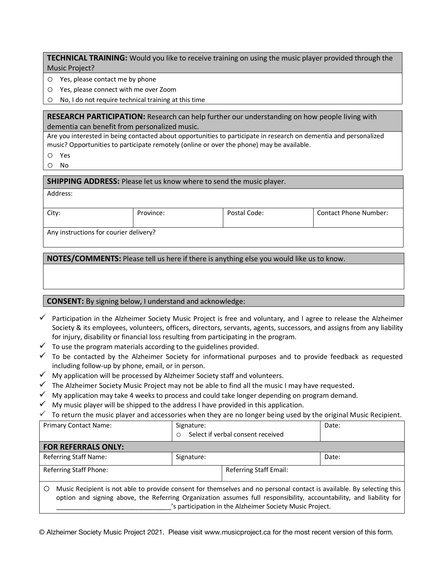**TECHNICAL TRAINING:** Would you like to receive training on using the music player provided through the Music Project?

o Yes, please contact me by phone

o Yes, please connect with me over Zoom

o No, I do not require technical training at this time

**RESEARCH PARTICIPATION:** Research can help further our understanding on how people living with dementia can benefit from personalized music.

Are you interested in being contacted about opportunities to participate in research on dementia and personalized music? Opportunities to participate remotely (online or over the phone) may be available.

- o Yes
- o No

**SHIPPING ADDRESS:** Please let us know where to send the music player.

| City:                                  | Province: | Postal Code: | <b>Contact Phone Number:</b> |  |  |
|----------------------------------------|-----------|--------------|------------------------------|--|--|
| Any instructions for courier delivery? |           |              |                              |  |  |

**NOTES/COMMENTS:** Please tell us here if there is anything else you would like us to know.

#### **CONSENT:** By signing below, I understand and acknowledge:

- $\checkmark$  Participation in the Alzheimer Society Music Project is free and voluntary, and I agree to release the Alzheimer Society & its employees, volunteers, officers, directors, servants, agents, successors, and assigns from any liability for injury, disability or financial loss resulting from participating in the program.
- $\checkmark$  To use the program materials according to the guidelines provided.
- $\checkmark$  To be contacted by the Alzheimer Society for informational purposes and to provide feedback as requested including follow-up by phone, email, or in person.
- $\checkmark$  My application will be processed by Alzheimer Society staff and volunteers.
- $\checkmark$  The Alzheimer Society Music Project may not be able to find all the music I may have requested.
- $\checkmark$  My application may take 4 weeks to process and could take longer depending on program demand.
- $\checkmark$  My music player will be shipped to the address I have provided in this application.
- $\checkmark$  To return the music player and accessories when they are no longer being used by the original Music Recipient.

| <b>Primary Contact Name:</b>                                                                                                                                                                                                                                                                                  | Signature:<br>Select if verbal consent received<br>$\circ$ |                               | Date: |  |  |  |
|---------------------------------------------------------------------------------------------------------------------------------------------------------------------------------------------------------------------------------------------------------------------------------------------------------------|------------------------------------------------------------|-------------------------------|-------|--|--|--|
| <b>FOR REFERRALS ONLY:</b>                                                                                                                                                                                                                                                                                    |                                                            |                               |       |  |  |  |
| <b>Referring Staff Name:</b>                                                                                                                                                                                                                                                                                  | Signature:                                                 |                               | Date: |  |  |  |
| <b>Referring Staff Phone:</b>                                                                                                                                                                                                                                                                                 |                                                            | <b>Referring Staff Email:</b> |       |  |  |  |
| Music Recipient is not able to provide consent for themselves and no personal contact is available. By selecting this<br>О<br>option and signing above, the Referring Organization assumes full responsibility, accountability, and liability for<br>'s participation in the Alzheimer Society Music Project. |                                                            |                               |       |  |  |  |

© Alzheimer Society Music Project 2021. Please visit www.musicproject.ca for the most recent version of this form.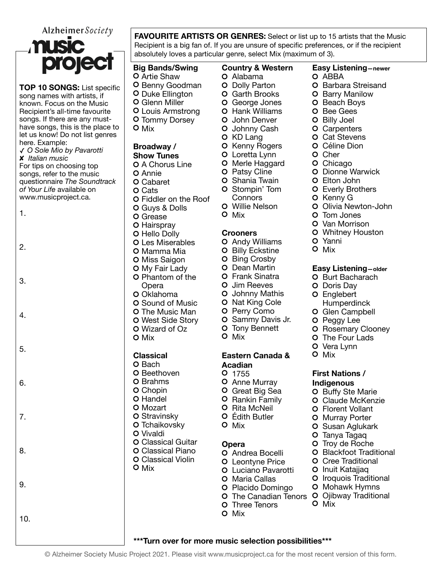Alzheimer Society



**TOP 10 SONGS:** List specific song names with artists, if known. Focus on the Music Recipient's all-time favourite songs. If there are any musthave songs, this is the place to let us know! Do not list genres here. Example: ✓ *O Sole Mio by Pavarotti* ✘ *Italian music* For tips on choosing top songs, refer to the music questionnaire *The Soundtrack of Your Life* available on [www.musicproject.ca](http://www.musicproject.ca).

1.

2.

3.

4.

5.

6.

7.

8.

9.

**O** Annie O Cabaret O Cats Fiddler on the Roof Guys & Dolls O Grease O Hairspray O Hello Dolly **O** Les Miserables O Mamma Mia O Miss Saigon O My Fair Lady O Phantom of the Opera O Oklahoma O Sound of Music O The Music Man West Side Story Wizard of Oz O Mix **Classical**  O Bach O Beethoven O Brahms O Chopin O Handel O Mozart O Stravinsky O Tchaikovsky Vivaldi **O Classical Guitar** Classical Piano **O** Classical Violin O Mix O Patsy Cline **O** Shania Twain O Stompin' Tom **Connors** O Mix **Crooners O** Billy Eckstine O Bing Crosby O Dean Martin **O** Jim Reeves O Johnny Mathis O Nat King Cole O Perry Como O Sammy Davis Jr. **O** Tony Bennett O Mix **Eastern Canada & Acadian**  O 1755 O Anne Murray **O** Rankin Family O Rita McNeil Édith Butler O Mix **Opera**  O Three Tenors O Mix 10. **\*\*\*Turn over for more music selection possibilities\*\*\***

**FAVOURITE ARTISTS OR GENRES:** Select or list up to 15 artists that the Music Recipient is a big fan of. If you are unsure of specific preferences, or if the recipient absolutely loves a particular genre, select Mix (maximum of 3).

### **Big Bands/Swing**

- O Artie Shaw **O** Benny Goodman **O** Duke Ellington Glenn Miller Louis Armstrong O Tommy Dorsey
- O Mix

## **Broadway /**

#### **Show Tunes**

**O** A Chorus Line

### O Dolly Parton

Alabama

**Country & Western** 

- O Garth Brooks
- George Jones
- Hank Williams
- **O** John Denver
- O Johnny Cash
- O KD Lang
- O Kenny Rogers
- Loretta Lynn
- O Merle Haggard
- 
- 
- 
- 
- Willie Nelson
- 
- O Andy Williams
- 
- Frank Sinatra
- 
- 
- 
- 
- 
- 
- 
- Great Big Sea
- 
- Andrea Bocelli
- Leontyne Price
- Luciano Pavarotti
- O Maria Callas
- O Placido Domingo
- The Canadian Tenors O Ojibway Traditional
- 

© Alzheimer Society Music Project 2021. Please visit [www.musicproject.ca](http://www.musicproject.ca) for the most recent version of this form.

#### **Easy Listening—newer**

- O ABBA
- O Barbara Streisand
- **O** Barry Manilow
- O Beach Boys
- O Bee Gees
- O Billy Joel
- O Carpenters
- 
- **O** Cat Stevens
- O Céline Dion
- O Cher
- O Chicago
- **O** Dionne Warwick
- Elton John
- Everly Brothers
- O Kenny G

O Tom Jones O Van Morrison Whitney Houston

Yanni O Mix

O Olivia Newton-John

**Easy Listening—older** O Burt Bacharach O Doris Day O Englebert

Humperdinck O Glen Campbell O Peggy Lee

O Rosemary Clooney O The Four Lads O Vera Lynn O Mix

**First Nations / Indigenous**  O Buffy Ste Marie O Claude McKenzie O Florent Vollant O Murray Porter O Susan Aglukark O Tanya Tagaq O Troy de Roche **O** Blackfoot Traditional O Cree Traditional O Inuit Katajjaq O Iroquois Traditional O Mohawk Hymns

O Mix